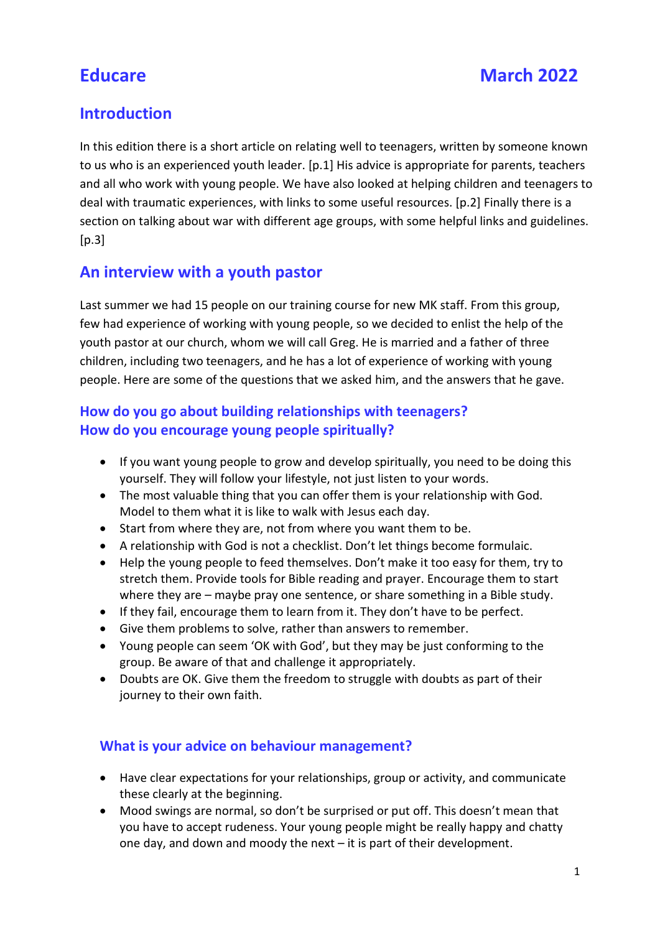# Introduction

In this edition there is a short article on relating well to teenagers, written by someone known to us who is an experienced youth leader. [p.1] His advice is appropriate for parents, teachers and all who work with young people. We have also looked at helping children and teenagers to deal with traumatic experiences, with links to some useful resources. [p.2] Finally there is a section on talking about war with different age groups, with some helpful links and guidelines.  $[p.3]$ 

# An interview with a youth pastor

Last summer we had 15 people on our training course for new MK staff. From this group, few had experience of working with young people, so we decided to enlist the help of the youth pastor at our church, whom we will call Greg. He is married and a father of three children, including two teenagers, and he has a lot of experience of working with young people. Here are some of the questions that we asked him, and the answers that he gave.

## How do you go about building relationships with teenagers? How do you encourage young people spiritually?

- If you want young people to grow and develop spiritually, you need to be doing this yourself. They will follow your lifestyle, not just listen to your words.
- The most valuable thing that you can offer them is your relationship with God. Model to them what it is like to walk with Jesus each day.
- Start from where they are, not from where you want them to be.
- A relationship with God is not a checklist. Don't let things become formulaic.
- Help the young people to feed themselves. Don't make it too easy for them, try to stretch them. Provide tools for Bible reading and prayer. Encourage them to start where they are – maybe pray one sentence, or share something in a Bible study.
- If they fail, encourage them to learn from it. They don't have to be perfect.
- Give them problems to solve, rather than answers to remember.
- Young people can seem 'OK with God', but they may be just conforming to the group. Be aware of that and challenge it appropriately.
- Doubts are OK. Give them the freedom to struggle with doubts as part of their journey to their own faith.

### What is your advice on behaviour management?

- Have clear expectations for your relationships, group or activity, and communicate these clearly at the beginning.
- Mood swings are normal, so don't be surprised or put off. This doesn't mean that you have to accept rudeness. Your young people might be really happy and chatty one day, and down and moody the next – it is part of their development.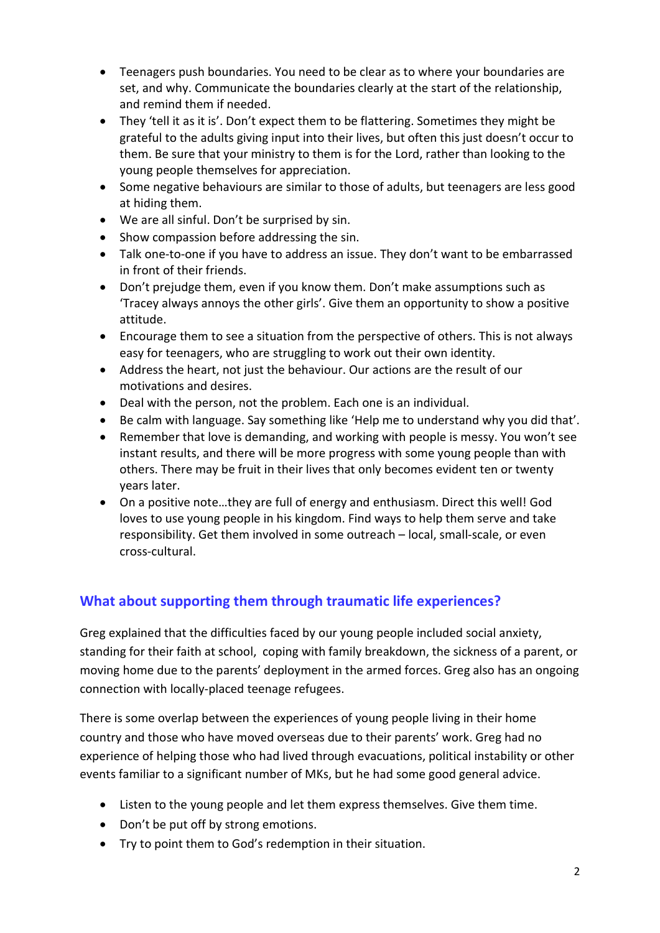- Teenagers push boundaries. You need to be clear as to where your boundaries are set, and why. Communicate the boundaries clearly at the start of the relationship, and remind them if needed.
- They 'tell it as it is'. Don't expect them to be flattering. Sometimes they might be grateful to the adults giving input into their lives, but often this just doesn't occur to them. Be sure that your ministry to them is for the Lord, rather than looking to the young people themselves for appreciation.
- Some negative behaviours are similar to those of adults, but teenagers are less good at hiding them.
- We are all sinful. Don't be surprised by sin.
- Show compassion before addressing the sin.
- Talk one-to-one if you have to address an issue. They don't want to be embarrassed in front of their friends.
- Don't prejudge them, even if you know them. Don't make assumptions such as 'Tracey always annoys the other girls'. Give them an opportunity to show a positive attitude.
- Encourage them to see a situation from the perspective of others. This is not always easy for teenagers, who are struggling to work out their own identity.
- Address the heart, not just the behaviour. Our actions are the result of our motivations and desires.
- Deal with the person, not the problem. Each one is an individual.
- Be calm with language. Say something like 'Help me to understand why you did that'.
- Remember that love is demanding, and working with people is messy. You won't see instant results, and there will be more progress with some young people than with others. There may be fruit in their lives that only becomes evident ten or twenty years later.
- On a positive note…they are full of energy and enthusiasm. Direct this well! God loves to use young people in his kingdom. Find ways to help them serve and take responsibility. Get them involved in some outreach – local, small-scale, or even cross-cultural.

### What about supporting them through traumatic life experiences?

Greg explained that the difficulties faced by our young people included social anxiety, standing for their faith at school, coping with family breakdown, the sickness of a parent, or moving home due to the parents' deployment in the armed forces. Greg also has an ongoing connection with locally-placed teenage refugees.

There is some overlap between the experiences of young people living in their home country and those who have moved overseas due to their parents' work. Greg had no experience of helping those who had lived through evacuations, political instability or other events familiar to a significant number of MKs, but he had some good general advice.

- Listen to the young people and let them express themselves. Give them time.
- Don't be put off by strong emotions.
- Try to point them to God's redemption in their situation.